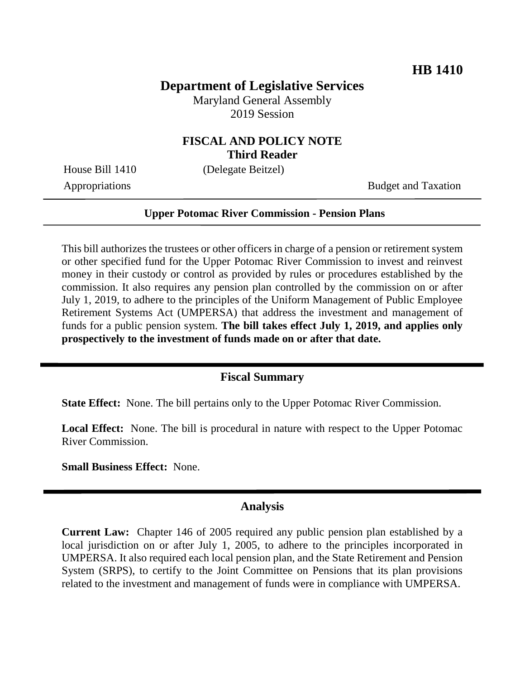## **Department of Legislative Services**

Maryland General Assembly 2019 Session

## **FISCAL AND POLICY NOTE Third Reader**

House Bill 1410 (Delegate Beitzel)

Appropriations Budget and Taxation

#### **Upper Potomac River Commission - Pension Plans**

This bill authorizes the trustees or other officers in charge of a pension or retirement system or other specified fund for the Upper Potomac River Commission to invest and reinvest money in their custody or control as provided by rules or procedures established by the commission. It also requires any pension plan controlled by the commission on or after July 1, 2019, to adhere to the principles of the Uniform Management of Public Employee Retirement Systems Act (UMPERSA) that address the investment and management of funds for a public pension system. **The bill takes effect July 1, 2019, and applies only prospectively to the investment of funds made on or after that date.**

### **Fiscal Summary**

**State Effect:** None. The bill pertains only to the Upper Potomac River Commission.

**Local Effect:** None. The bill is procedural in nature with respect to the Upper Potomac River Commission.

**Small Business Effect:** None.

#### **Analysis**

**Current Law:** Chapter 146 of 2005 required any public pension plan established by a local jurisdiction on or after July 1, 2005, to adhere to the principles incorporated in UMPERSA. It also required each local pension plan, and the State Retirement and Pension System (SRPS), to certify to the Joint Committee on Pensions that its plan provisions related to the investment and management of funds were in compliance with UMPERSA.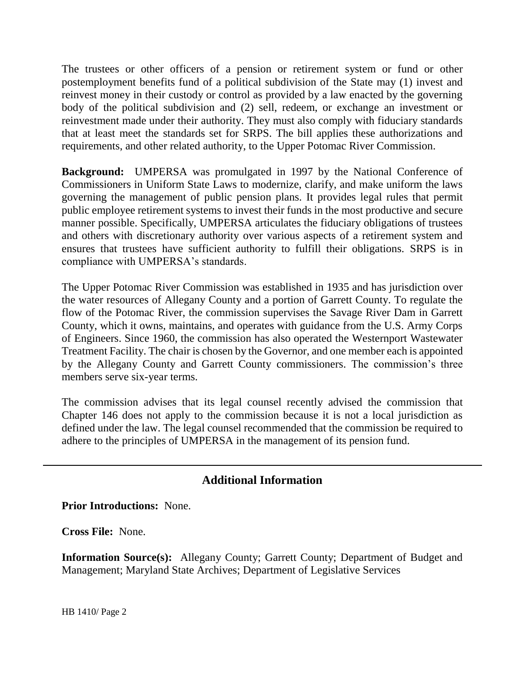The trustees or other officers of a pension or retirement system or fund or other postemployment benefits fund of a political subdivision of the State may (1) invest and reinvest money in their custody or control as provided by a law enacted by the governing body of the political subdivision and (2) sell, redeem, or exchange an investment or reinvestment made under their authority. They must also comply with fiduciary standards that at least meet the standards set for SRPS. The bill applies these authorizations and requirements, and other related authority, to the Upper Potomac River Commission.

**Background:** UMPERSA was promulgated in 1997 by the National Conference of Commissioners in Uniform State Laws to modernize, clarify, and make uniform the laws governing the management of public pension plans. It provides legal rules that permit public employee retirement systems to invest their funds in the most productive and secure manner possible. Specifically, UMPERSA articulates the fiduciary obligations of trustees and others with discretionary authority over various aspects of a retirement system and ensures that trustees have sufficient authority to fulfill their obligations. SRPS is in compliance with UMPERSA's standards.

The Upper Potomac River Commission was established in 1935 and has jurisdiction over the water resources of Allegany County and a portion of Garrett County. To regulate the flow of the Potomac River, the commission supervises the Savage River Dam in Garrett County, which it owns, maintains, and operates with guidance from the U.S. Army Corps of Engineers. Since 1960, the commission has also operated the Westernport Wastewater Treatment Facility. The chair is chosen by the Governor, and one member each is appointed by the Allegany County and Garrett County commissioners. The commission's three members serve six-year terms.

The commission advises that its legal counsel recently advised the commission that Chapter 146 does not apply to the commission because it is not a local jurisdiction as defined under the law. The legal counsel recommended that the commission be required to adhere to the principles of UMPERSA in the management of its pension fund.

# **Additional Information**

**Prior Introductions:** None.

**Cross File:** None.

**Information Source(s):** Allegany County; Garrett County; Department of Budget and Management; Maryland State Archives; Department of Legislative Services